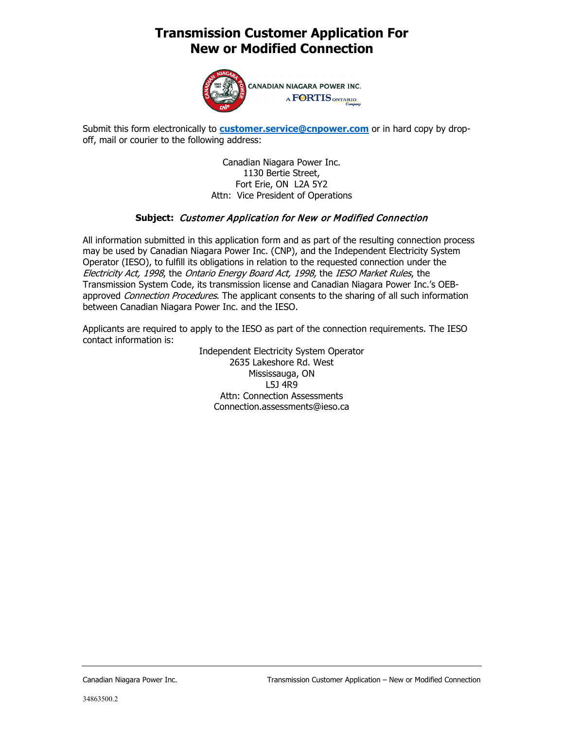# **Transmission Customer Application For New or Modified Connection**



CANADIAN NIAGARA POWER INC. A FORTIS ONTARIO

Submit this form electronically to **[customer.service@cnpower.com](mailto:customer.service@cnpower.com)** or in hard copy by dropoff, mail or courier to the following address:

> Canadian Niagara Power Inc. 1130 Bertie Street, Fort Erie, ON L2A 5Y2 Attn: Vice President of Operations

### **Subject:** Customer Application for New or Modified Connection

All information submitted in this application form and as part of the resulting connection process may be used by Canadian Niagara Power Inc. (CNP), and the Independent Electricity System Operator (IESO), to fulfill its obligations in relation to the requested connection under the Electricity Act, 1998, the Ontario Energy Board Act, 1998, the IESO Market Rules, the Transmission System Code, its transmission license and Canadian Niagara Power Inc.'s OEBapproved Connection Procedures. The applicant consents to the sharing of all such information between Canadian Niagara Power Inc. and the IESO.

Applicants are required to apply to the IESO as part of the connection requirements. The IESO contact information is:

Independent Electricity System Operator 2635 Lakeshore Rd. West Mississauga, ON L5J 4R9 Attn: Connection Assessments [Connection.assessments@ieso.ca](mailto:Connection.assessments@ieso.ca)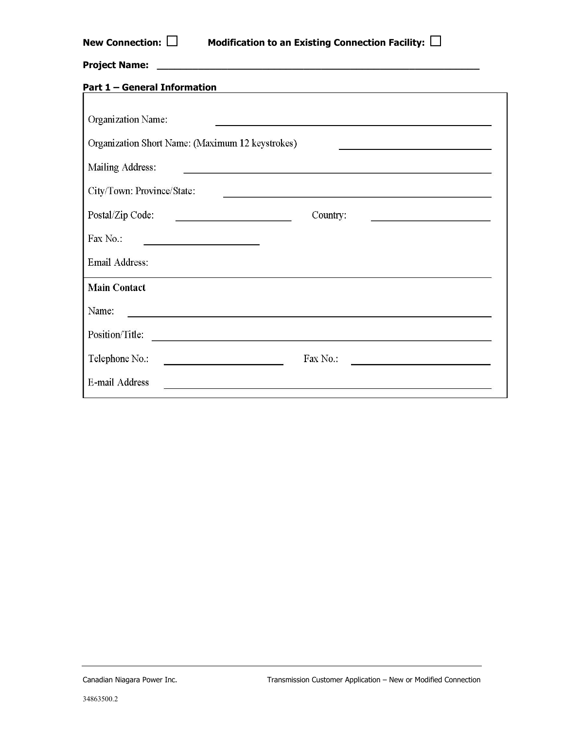| New Connection: $\Box$<br>Modification to an Existing Connection Facility: $\Box$                                                                    |
|------------------------------------------------------------------------------------------------------------------------------------------------------|
|                                                                                                                                                      |
| <b>Part 1 - General Information</b><br><u> 1989 - Johann Stoff, amerikansk politiker (d. 1989)</u>                                                   |
| Organization Name:                                                                                                                                   |
| Organization Short Name: (Maximum 12 keystrokes)                                                                                                     |
| Mailing Address:<br>and the control of the control of the control of the control of the control of the control of the control of the                 |
| City/Town: Province/State:<br><u> 1989 - Johann Stoff, deutscher Stoffen und der Stoffen und der Stoffen und der Stoffen und der Stoffen und der</u> |
| Postal/Zip Code:<br>Country:<br><u> 1989 - Johann Barn, amerikansk politiker (d. 1989)</u>                                                           |
| Fax No.:                                                                                                                                             |
| Email Address:                                                                                                                                       |
| <b>Main Contact</b>                                                                                                                                  |
| Name:<br><u> 1989 - John Stone, Amerikaansk politiker (* 1989)</u>                                                                                   |
| Position/Title:                                                                                                                                      |
| Telephone No.:<br>Fax No.:<br><u> 1989 - Johann Barn, mars eta bat erroman e</u>                                                                     |
| <b>E-mail Address</b>                                                                                                                                |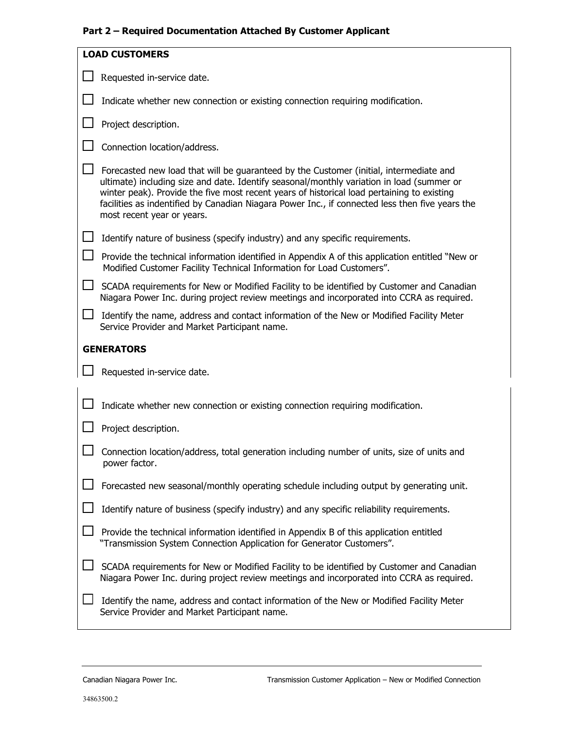# **Part 2 – Required Documentation Attached By Customer Applicant**

| <b>LOAD CUSTOMERS</b><br>Requested in-service date.<br>Indicate whether new connection or existing connection requiring modification.<br>Project description.<br>Connection location/address.<br>Forecasted new load that will be guaranteed by the Customer (initial, intermediate and<br>ultimate) including size and date. Identify seasonal/monthly variation in load (summer or<br>winter peak). Provide the five most recent years of historical load pertaining to existing<br>facilities as indentified by Canadian Niagara Power Inc., if connected less then five years the<br>most recent year or years.<br>Identify nature of business (specify industry) and any specific requirements.<br>Provide the technical information identified in Appendix A of this application entitled "New or<br>Modified Customer Facility Technical Information for Load Customers".<br>SCADA requirements for New or Modified Facility to be identified by Customer and Canadian<br>Niagara Power Inc. during project review meetings and incorporated into CCRA as required.<br>Identify the name, address and contact information of the New or Modified Facility Meter<br>Service Provider and Market Participant name.<br><b>GENERATORS</b><br>Requested in-service date.<br>Indicate whether new connection or existing connection requiring modification.<br>Project description.<br>Connection location/address, total generation including number of units, size of units and<br>power factor.<br>Forecasted new seasonal/monthly operating schedule including output by generating unit.<br>Identify nature of business (specify industry) and any specific reliability requirements.<br>Provide the technical information identified in Appendix B of this application entitled<br>"Transmission System Connection Application for Generator Customers".<br>SCADA requirements for New or Modified Facility to be identified by Customer and Canadian<br>Niagara Power Inc. during project review meetings and incorporated into CCRA as required.<br>Identify the name, address and contact information of the New or Modified Facility Meter<br>Service Provider and Market Participant name. |  |
|--------------------------------------------------------------------------------------------------------------------------------------------------------------------------------------------------------------------------------------------------------------------------------------------------------------------------------------------------------------------------------------------------------------------------------------------------------------------------------------------------------------------------------------------------------------------------------------------------------------------------------------------------------------------------------------------------------------------------------------------------------------------------------------------------------------------------------------------------------------------------------------------------------------------------------------------------------------------------------------------------------------------------------------------------------------------------------------------------------------------------------------------------------------------------------------------------------------------------------------------------------------------------------------------------------------------------------------------------------------------------------------------------------------------------------------------------------------------------------------------------------------------------------------------------------------------------------------------------------------------------------------------------------------------------------------------------------------------------------------------------------------------------------------------------------------------------------------------------------------------------------------------------------------------------------------------------------------------------------------------------------------------------------------------------------------------------------------------------------------------------------------------------------------------------------------------------------|--|
|                                                                                                                                                                                                                                                                                                                                                                                                                                                                                                                                                                                                                                                                                                                                                                                                                                                                                                                                                                                                                                                                                                                                                                                                                                                                                                                                                                                                                                                                                                                                                                                                                                                                                                                                                                                                                                                                                                                                                                                                                                                                                                                                                                                                        |  |
|                                                                                                                                                                                                                                                                                                                                                                                                                                                                                                                                                                                                                                                                                                                                                                                                                                                                                                                                                                                                                                                                                                                                                                                                                                                                                                                                                                                                                                                                                                                                                                                                                                                                                                                                                                                                                                                                                                                                                                                                                                                                                                                                                                                                        |  |
|                                                                                                                                                                                                                                                                                                                                                                                                                                                                                                                                                                                                                                                                                                                                                                                                                                                                                                                                                                                                                                                                                                                                                                                                                                                                                                                                                                                                                                                                                                                                                                                                                                                                                                                                                                                                                                                                                                                                                                                                                                                                                                                                                                                                        |  |
|                                                                                                                                                                                                                                                                                                                                                                                                                                                                                                                                                                                                                                                                                                                                                                                                                                                                                                                                                                                                                                                                                                                                                                                                                                                                                                                                                                                                                                                                                                                                                                                                                                                                                                                                                                                                                                                                                                                                                                                                                                                                                                                                                                                                        |  |
|                                                                                                                                                                                                                                                                                                                                                                                                                                                                                                                                                                                                                                                                                                                                                                                                                                                                                                                                                                                                                                                                                                                                                                                                                                                                                                                                                                                                                                                                                                                                                                                                                                                                                                                                                                                                                                                                                                                                                                                                                                                                                                                                                                                                        |  |
|                                                                                                                                                                                                                                                                                                                                                                                                                                                                                                                                                                                                                                                                                                                                                                                                                                                                                                                                                                                                                                                                                                                                                                                                                                                                                                                                                                                                                                                                                                                                                                                                                                                                                                                                                                                                                                                                                                                                                                                                                                                                                                                                                                                                        |  |
|                                                                                                                                                                                                                                                                                                                                                                                                                                                                                                                                                                                                                                                                                                                                                                                                                                                                                                                                                                                                                                                                                                                                                                                                                                                                                                                                                                                                                                                                                                                                                                                                                                                                                                                                                                                                                                                                                                                                                                                                                                                                                                                                                                                                        |  |
|                                                                                                                                                                                                                                                                                                                                                                                                                                                                                                                                                                                                                                                                                                                                                                                                                                                                                                                                                                                                                                                                                                                                                                                                                                                                                                                                                                                                                                                                                                                                                                                                                                                                                                                                                                                                                                                                                                                                                                                                                                                                                                                                                                                                        |  |
|                                                                                                                                                                                                                                                                                                                                                                                                                                                                                                                                                                                                                                                                                                                                                                                                                                                                                                                                                                                                                                                                                                                                                                                                                                                                                                                                                                                                                                                                                                                                                                                                                                                                                                                                                                                                                                                                                                                                                                                                                                                                                                                                                                                                        |  |
|                                                                                                                                                                                                                                                                                                                                                                                                                                                                                                                                                                                                                                                                                                                                                                                                                                                                                                                                                                                                                                                                                                                                                                                                                                                                                                                                                                                                                                                                                                                                                                                                                                                                                                                                                                                                                                                                                                                                                                                                                                                                                                                                                                                                        |  |
|                                                                                                                                                                                                                                                                                                                                                                                                                                                                                                                                                                                                                                                                                                                                                                                                                                                                                                                                                                                                                                                                                                                                                                                                                                                                                                                                                                                                                                                                                                                                                                                                                                                                                                                                                                                                                                                                                                                                                                                                                                                                                                                                                                                                        |  |
|                                                                                                                                                                                                                                                                                                                                                                                                                                                                                                                                                                                                                                                                                                                                                                                                                                                                                                                                                                                                                                                                                                                                                                                                                                                                                                                                                                                                                                                                                                                                                                                                                                                                                                                                                                                                                                                                                                                                                                                                                                                                                                                                                                                                        |  |
|                                                                                                                                                                                                                                                                                                                                                                                                                                                                                                                                                                                                                                                                                                                                                                                                                                                                                                                                                                                                                                                                                                                                                                                                                                                                                                                                                                                                                                                                                                                                                                                                                                                                                                                                                                                                                                                                                                                                                                                                                                                                                                                                                                                                        |  |
|                                                                                                                                                                                                                                                                                                                                                                                                                                                                                                                                                                                                                                                                                                                                                                                                                                                                                                                                                                                                                                                                                                                                                                                                                                                                                                                                                                                                                                                                                                                                                                                                                                                                                                                                                                                                                                                                                                                                                                                                                                                                                                                                                                                                        |  |
|                                                                                                                                                                                                                                                                                                                                                                                                                                                                                                                                                                                                                                                                                                                                                                                                                                                                                                                                                                                                                                                                                                                                                                                                                                                                                                                                                                                                                                                                                                                                                                                                                                                                                                                                                                                                                                                                                                                                                                                                                                                                                                                                                                                                        |  |
|                                                                                                                                                                                                                                                                                                                                                                                                                                                                                                                                                                                                                                                                                                                                                                                                                                                                                                                                                                                                                                                                                                                                                                                                                                                                                                                                                                                                                                                                                                                                                                                                                                                                                                                                                                                                                                                                                                                                                                                                                                                                                                                                                                                                        |  |
|                                                                                                                                                                                                                                                                                                                                                                                                                                                                                                                                                                                                                                                                                                                                                                                                                                                                                                                                                                                                                                                                                                                                                                                                                                                                                                                                                                                                                                                                                                                                                                                                                                                                                                                                                                                                                                                                                                                                                                                                                                                                                                                                                                                                        |  |
|                                                                                                                                                                                                                                                                                                                                                                                                                                                                                                                                                                                                                                                                                                                                                                                                                                                                                                                                                                                                                                                                                                                                                                                                                                                                                                                                                                                                                                                                                                                                                                                                                                                                                                                                                                                                                                                                                                                                                                                                                                                                                                                                                                                                        |  |
|                                                                                                                                                                                                                                                                                                                                                                                                                                                                                                                                                                                                                                                                                                                                                                                                                                                                                                                                                                                                                                                                                                                                                                                                                                                                                                                                                                                                                                                                                                                                                                                                                                                                                                                                                                                                                                                                                                                                                                                                                                                                                                                                                                                                        |  |
|                                                                                                                                                                                                                                                                                                                                                                                                                                                                                                                                                                                                                                                                                                                                                                                                                                                                                                                                                                                                                                                                                                                                                                                                                                                                                                                                                                                                                                                                                                                                                                                                                                                                                                                                                                                                                                                                                                                                                                                                                                                                                                                                                                                                        |  |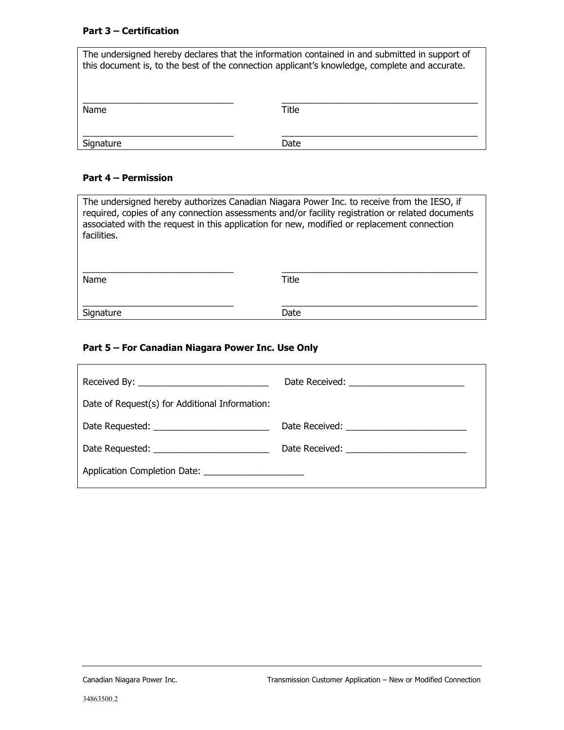### **Part 3 – Certification**

| The undersigned hereby declares that the information contained in and submitted in support of<br>this document is, to the best of the connection applicant's knowledge, complete and accurate. |       |  |
|------------------------------------------------------------------------------------------------------------------------------------------------------------------------------------------------|-------|--|
| Name                                                                                                                                                                                           | Title |  |
| Signature                                                                                                                                                                                      | Date  |  |

## **Part 4 – Permission**

| The undersigned hereby authorizes Canadian Niagara Power Inc. to receive from the IESO, if<br>required, copies of any connection assessments and/or facility registration or related documents<br>associated with the request in this application for new, modified or replacement connection<br>facilities. |       |  |  |
|--------------------------------------------------------------------------------------------------------------------------------------------------------------------------------------------------------------------------------------------------------------------------------------------------------------|-------|--|--|
| Name                                                                                                                                                                                                                                                                                                         | Title |  |  |
| Signature                                                                                                                                                                                                                                                                                                    | Date  |  |  |

# **Part 5 – For Canadian Niagara Power Inc. Use Only**

| Date of Request(s) for Additional Information:         |  |
|--------------------------------------------------------|--|
| Date Requested: _________________________              |  |
|                                                        |  |
| Application Completion Date: _________________________ |  |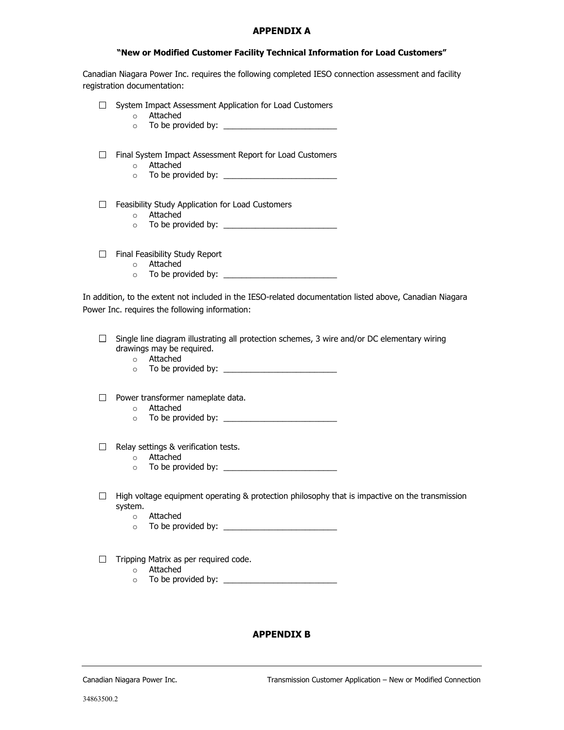#### **APPENDIX A**

#### **"New or Modified Customer Facility Technical Information for Load Customers"**

Canadian Niagara Power Inc. requires the following completed IESO connection assessment and facility registration documentation:

- $\Box$  System Impact Assessment Application for Load Customers
	- o Attached
	- o To be provided by: \_\_\_\_\_\_\_\_\_\_\_\_\_\_\_\_\_\_\_\_\_\_\_\_\_
- □ Final System Impact Assessment Report for Load Customers
	- o Attached
	- o To be provided by: \_\_\_\_\_\_\_\_\_\_\_\_\_\_\_\_\_\_\_\_\_\_\_\_\_
- $\Box$  Feasibility Study Application for Load Customers
	- o Attached
	- o To be provided by: \_\_\_\_\_\_\_\_\_\_\_\_\_\_\_\_\_\_\_\_\_\_\_\_\_
- $\Box$  Final Feasibility Study Report
	- o Attached
	- o To be provided by: \_\_\_\_\_\_\_\_\_\_\_\_\_\_\_\_\_\_\_\_\_\_\_\_\_

In addition, to the extent not included in the IESO-related documentation listed above, Canadian Niagara Power Inc. requires the following information:

- $\Box$  Single line diagram illustrating all protection schemes, 3 wire and/or DC elementary wiring drawings may be required.
	- o Attached
	- o To be provided by: \_\_\_\_\_\_\_\_\_\_\_\_\_\_\_\_\_\_\_\_\_\_\_\_\_
- $\Box$  Power transformer nameplate data.
	- o Attached
	- $\circ$  To be provided by:
- $\Box$  Relay settings & verification tests.
	- o Attached
	- o To be provided by: \_\_\_\_\_\_\_\_\_\_\_\_\_\_\_\_\_\_\_\_\_\_\_\_\_
- $\Box$  High voltage equipment operating & protection philosophy that is impactive on the transmission system.
	- o Attached
	- o To be provided by: \_\_\_\_\_\_\_\_\_\_\_\_\_\_\_\_\_\_\_\_\_\_\_\_\_
- $\Box$  Tripping Matrix as per required code.
	- o Attached
	- o To be provided by: \_\_\_\_\_\_\_\_\_\_\_\_\_\_\_\_\_\_\_\_\_\_\_\_\_

### **APPENDIX B**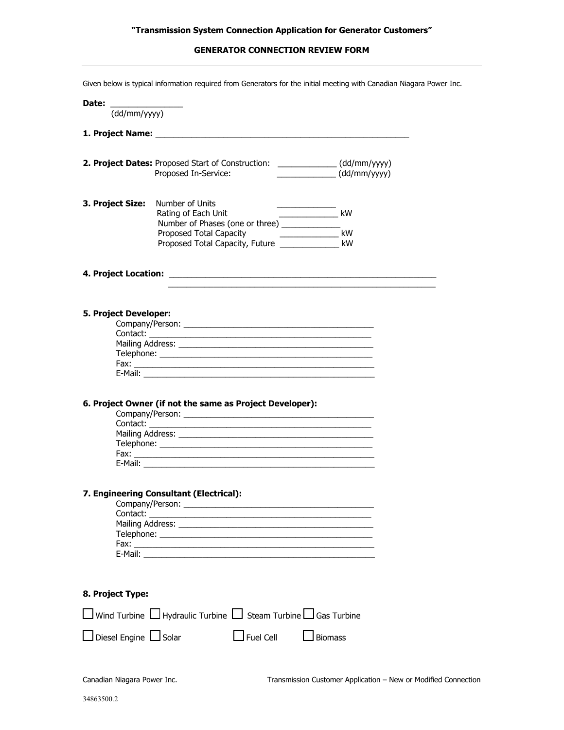### **GENERATOR CONNECTION REVIEW FORM**

|                                                                                                                                                                                                                                                | Given below is typical information required from Generators for the initial meeting with Canadian Niagara Power Inc.                                                                                                                |                                                                                   |  |
|------------------------------------------------------------------------------------------------------------------------------------------------------------------------------------------------------------------------------------------------|-------------------------------------------------------------------------------------------------------------------------------------------------------------------------------------------------------------------------------------|-----------------------------------------------------------------------------------|--|
| Date: the control of the control of the control of the control of the control of the control of the control of the control of the control of the control of the control of the control of the control of the control of the co<br>(dd/mm/yyyy) |                                                                                                                                                                                                                                     |                                                                                   |  |
|                                                                                                                                                                                                                                                | 1. Project Name: <b>All Accords</b> 2008 and 2008 and 2008 and 2008 and 2008 and 2008 and 2008 and 2008 and 2008 and 2008 and 2008 and 2008 and 2008 and 2008 and 2008 and 2008 and 2008 and 2008 and 2008 and 2008 and 2008 and 20 |                                                                                   |  |
|                                                                                                                                                                                                                                                | 2. Project Dates: Proposed Start of Construction: _____________(dd/mm/yyyy)<br>Proposed In-Service:                                                                                                                                 | $\frac{1}{\sqrt{1-\frac{1}{2}}\left(\frac{1}{2}-\frac{1}{2}\right)}$ (dd/mm/yyyy) |  |
| 3. Project Size:                                                                                                                                                                                                                               | Number of Units<br>Rating of Each Unit<br>Number of Phases (one or three) ____________<br>Proposed Total Capacity <b>Proposed Total Capacity</b><br>Proposed Total Capacity, Future ________________ kW                             | $\overline{\phantom{a}}$ kW<br>kW                                                 |  |
|                                                                                                                                                                                                                                                |                                                                                                                                                                                                                                     |                                                                                   |  |
| 5. Project Developer:<br>Contact:                                                                                                                                                                                                              | 6. Project Owner (if not the same as Project Developer):                                                                                                                                                                            |                                                                                   |  |
|                                                                                                                                                                                                                                                | 7. Engineering Consultant (Electrical):                                                                                                                                                                                             |                                                                                   |  |
| 8. Project Type:                                                                                                                                                                                                                               |                                                                                                                                                                                                                                     |                                                                                   |  |
|                                                                                                                                                                                                                                                | Wind Turbine $\Box$ Hydraulic Turbine $\Box$ Steam Turbine $\Box$ Gas Turbine                                                                                                                                                       |                                                                                   |  |
| Diesel Engine Solar                                                                                                                                                                                                                            | $\Box$ Fuel Cell                                                                                                                                                                                                                    | $\Box$ Biomass                                                                    |  |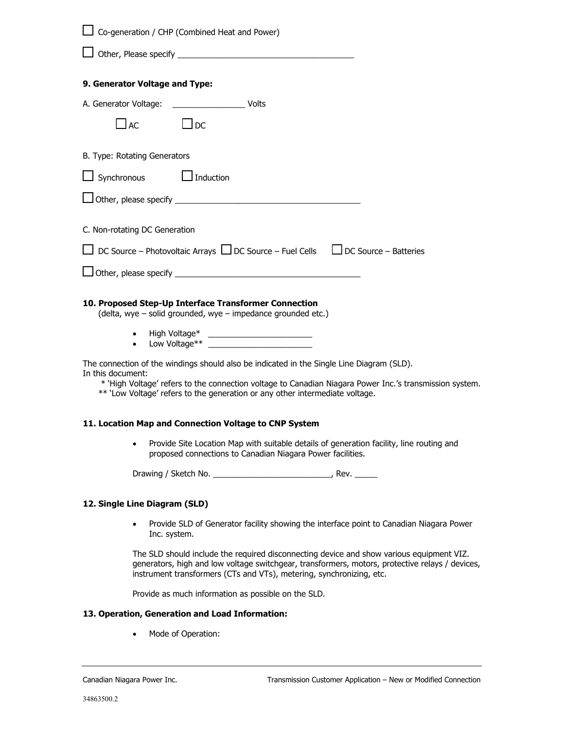| Co-generation / CHP (Combined Heat and Power)                                                                                                                                                                                                                                                             |
|-----------------------------------------------------------------------------------------------------------------------------------------------------------------------------------------------------------------------------------------------------------------------------------------------------------|
|                                                                                                                                                                                                                                                                                                           |
| 9. Generator Voltage and Type:                                                                                                                                                                                                                                                                            |
| A. Generator Voltage: __________________________ Volts                                                                                                                                                                                                                                                    |
| $\Box$ AC<br>$\Box$ DC                                                                                                                                                                                                                                                                                    |
| B. Type: Rotating Generators                                                                                                                                                                                                                                                                              |
| $\Box$ Synchronous $\Box$ Induction                                                                                                                                                                                                                                                                       |
|                                                                                                                                                                                                                                                                                                           |
| C. Non-rotating DC Generation                                                                                                                                                                                                                                                                             |
| $\Box$ DC Source – Photovoltaic Arrays $\Box$ DC Source – Fuel Cells $\Box$ DC Source – Batteries                                                                                                                                                                                                         |
|                                                                                                                                                                                                                                                                                                           |
| 10. Proposed Step-Up Interface Transformer Connection<br>(delta, wye - solid grounded, wye - impedance grounded etc.)                                                                                                                                                                                     |
| $\bullet$                                                                                                                                                                                                                                                                                                 |
| The connection of the windings should also be indicated in the Single Line Diagram (SLD).<br>In this document:<br>* 'High Voltage' refers to the connection voltage to Canadian Niagara Power Inc.'s transmission system.<br>** 'Low Voltage' refers to the generation or any other intermediate voltage. |
| 11. Location Map and Connection Voltage to CNP System                                                                                                                                                                                                                                                     |
| Provide Site Location Map with suitable details of generation facility, line routing and<br>$\bullet$<br>proposed connections to Canadian Niagara Power facilities.                                                                                                                                       |
|                                                                                                                                                                                                                                                                                                           |
| 12. Single Line Diagram (SLD)                                                                                                                                                                                                                                                                             |
| Provide SLD of Generator facility showing the interface point to Canadian Niagara Power<br>$\bullet$<br>Inc. system.                                                                                                                                                                                      |

The SLD should include the required disconnecting device and show various equipment VIZ. generators, high and low voltage switchgear, transformers, motors, protective relays / devices, instrument transformers (CTs and VTs), metering, synchronizing, etc.

Provide as much information as possible on the SLD.

#### **13. Operation, Generation and Load Information:**

• Mode of Operation: